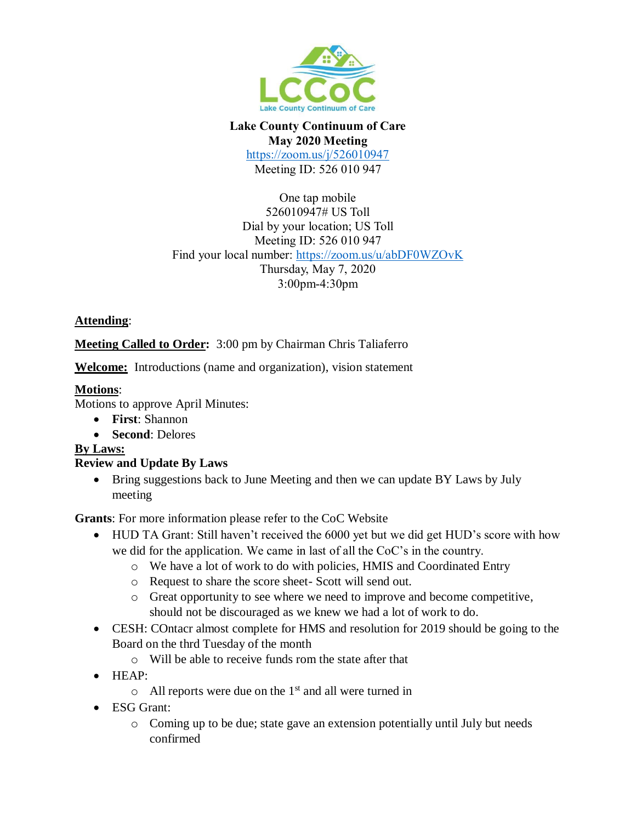

#### **Lake County Continuum of Care May 2020 Meeting**

<https://zoom.us/j/526010947> Meeting ID: 526 010 947

One tap mobile 526010947# US Toll Dial by your location; US Toll Meeting ID: 526 010 947 Find your local number:<https://zoom.us/u/abDF0WZOvK> Thursday, May 7, 2020 3:00pm-4:30pm

## **Attending**:

**Meeting Called to Order:** 3:00 pm by Chairman Chris Taliaferro

**Welcome:** Introductions (name and organization), vision statement

# **Motions**:

Motions to approve April Minutes:

- **First**: Shannon
- **Second**: Delores

### **By Laws:**

### **Review and Update By Laws**

• Bring suggestions back to June Meeting and then we can update BY Laws by July meeting

**Grants**: For more information please refer to the CoC Website

- HUD TA Grant: Still haven't received the 6000 yet but we did get HUD's score with how we did for the application. We came in last of all the CoC's in the country.
	- o We have a lot of work to do with policies, HMIS and Coordinated Entry
	- o Request to share the score sheet- Scott will send out.
	- o Great opportunity to see where we need to improve and become competitive, should not be discouraged as we knew we had a lot of work to do.
- CESH: COntacr almost complete for HMS and resolution for 2019 should be going to the Board on the thrd Tuesday of the month
	- o Will be able to receive funds rom the state after that
- HEAP:
	- $\circ$  All reports were due on the 1<sup>st</sup> and all were turned in
- ESG Grant:
	- o Coming up to be due; state gave an extension potentially until July but needs confirmed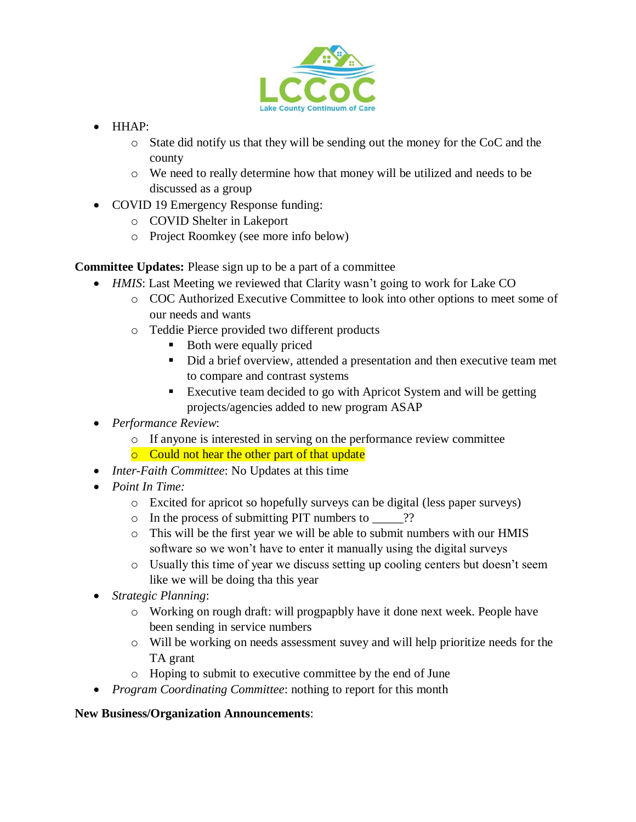

- $\bullet$  HHAP:
	- o State did notify us that they will be sending out the money for the CoC and the county
	- o We need to really determine how that money will be utilized and needs to be discussed as a group
- COVID 19 Emergency Response funding:
	- o COVID Shelter in Lakeport
	- o Project Roomkey (see more info below)

**Committee Updates:** Please sign up to be a part of a committee

- *HMIS*: Last Meeting we reviewed that Clarity wasn't going to work for Lake CO
	- o COC Authorized Executive Committee to look into other options to meet some of our needs and wants
	- o Teddie Pierce provided two different products
		- Both were equally priced
		- Did a brief overview, attended a presentation and then executive team met to compare and contrast systems
		- Executive team decided to go with Apricot System and will be getting projects/agencies added to new program ASAP
- *Performance Review*:
	- o If anyone is interested in serving on the performance review committee
	- o Could not hear the other part of that update
- *Inter-Faith Committee*: No Updates at this time
- *Point In Time:*
	- o Excited for apricot so hopefully surveys can be digital (less paper surveys)
	- o In the process of submitting PIT numbers to \_\_\_\_\_??
	- $\circ$  This will be the first year we will be able to submit numbers with our HMIS software so we won't have to enter it manually using the digital surveys
	- o Usually this time of year we discuss setting up cooling centers but doesn't seem like we will be doing tha this year
- *Strategic Planning*:
	- o Working on rough draft: will progpapbly have it done next week. People have been sending in service numbers
	- o Will be working on needs assessment suvey and will help prioritize needs for the TA grant
	- o Hoping to submit to executive committee by the end of June
- *Program Coordinating Committee*: nothing to report for this month

### **New Business/Organization Announcements**: